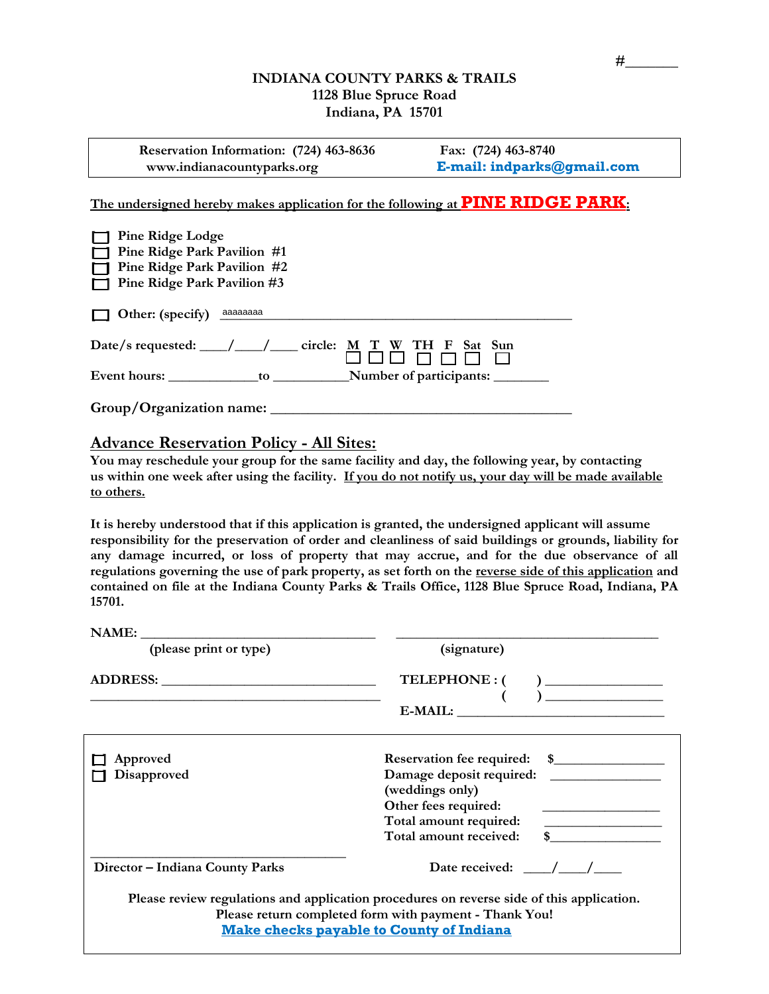## **INDIANA COUNTY PARKS & TRAILS 1128 Blue Spruce Road Indiana, PA 15701**

| Reservation Information: (724) 463-8636 | Fax: (724) 463-8740        |
|-----------------------------------------|----------------------------|
| www.indianacountyparks.org              | E-mail: indparks@gmail.com |

**The undersigned hereby makes application for the following at PINE RIDGE PARK:** 

| <b>Pine Ridge Lodge</b><br>$\mathbf{I}$<br>$\Box$ Pine Ridge Park Pavilion #1<br>$\Box$ Pine Ridge Park Pavilion #2<br>$\Box$ Pine Ridge Park Pavilion #3 |  |  |  |  |  |
|-----------------------------------------------------------------------------------------------------------------------------------------------------------|--|--|--|--|--|
| Other: (specify) aaaaaaaa                                                                                                                                 |  |  |  |  |  |
| Date/s requested: $\_\_\_\_\_\_\_\_\_\_\$ circle: M T W TH F Sat Sun                                                                                      |  |  |  |  |  |
|                                                                                                                                                           |  |  |  |  |  |
| Group/Organization name:                                                                                                                                  |  |  |  |  |  |

# **Advance Reservation Policy - All Sites:**

**You may reschedule your group for the same facility and day, the following year, by contacting us within one week after using the facility. If you do not notify us, your day will be made available to others.**

**It is hereby understood that if this application is granted, the undersigned applicant will assume responsibility for the preservation of order and cleanliness of said buildings or grounds, liability for any damage incurred, or loss of property that may accrue, and for the due observance of all regulations governing the use of park property, as set forth on the reverse side of this application and contained on file at the Indiana County Parks & Trails Office, 1128 Blue Spruce Road, Indiana, PA 15701.**

| NAME:<br><u> 1989 - Andrea Station, amerikansk politik (</u> |                                                                                                                                                                                                        |
|--------------------------------------------------------------|--------------------------------------------------------------------------------------------------------------------------------------------------------------------------------------------------------|
| (please print or type)                                       | (signature)                                                                                                                                                                                            |
|                                                              | $\overline{(\qquad)}$                                                                                                                                                                                  |
| Approved<br>Disapproved                                      | (weddings only)<br>Other fees required:<br><u> 1989 - Andrea Aontaithe ann an t-</u><br>Total amount received: \$                                                                                      |
| Director - Indiana County Parks                              | Date received: $\frac{\sqrt{2}}{2}$                                                                                                                                                                    |
|                                                              | Please review regulations and application procedures on reverse side of this application.<br>Please return completed form with payment - Thank You!<br><b>Make checks payable to County of Indiana</b> |